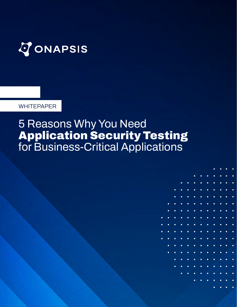

**WHITEPAPER**

## **5 Reasons Why You Need Application Security Testing for Business-Critical Applications**

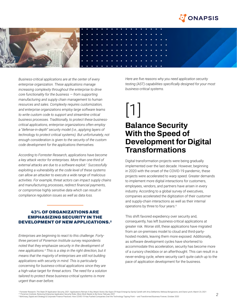



*Business-critical applications are at the center of every enterprise organization. These applications manage increasing complexity throughout the enterprise to drive core functionality for the business — from supporting manufacturing and supply chain management to human resources and sales. Complexity requires customization, and enterprise organizations employ large software teams to write custom code to support and streamline critical business processes. Traditionally, to protect these businesscritical applications, enterprise organizations often employ a "defense-in-depth" security model (i.e., applying layers of technology to protect critical systems). But unfortunately, not enough consideration is given to the security of the custom code development for the applications themselves.*

*According to Forrester Research, applications have become a key attack vector for enterprises. More than one-third of external attacks are due to a software exploit.1 Successfully exploiting a vulnerability at the code level of these systems can allow an attacker to execute a wide range of malicious activities. For example, threat actors can impact supply chains and manufacturing processes, redirect financial payments, or compromise highly sensitive data which can result in compliance regulation issues as well as data loss.*

#### **43% OF ORGANIZATIONS ARE EMPHASIZING SECURITY IN THE DEVELOPMENT OF NEW APPLICATIONS.2**

*Enterprises are beginning to react to this challenge. Fortythree percent of Ponemon Institute survey respondents noted that they emphasize security in the development of new applications.3 This is a step in the right direction, but it means that the majority of enterprises are still not building applications with security in mind. This is particularly concerning for business-critical applications since they are a high-value target for threat actors. The need for a solution tailored to protect these business-critical systems is more urgent than ever before.* 

*Here are five reasons why you need application security testing (AST) capabilities specifically designed for your most business-critical systems.*

# [1]

### **Balance Security With the Speed of Development for Digital Transformations**

Digital transformation projects were being gradually implemented over the last decade. However, beginning in 2020 with the onset of the COVID-19 pandemic, these projects were accelerated to warp speed. Greater demands to implement more digital interactions for customers, employees, vendors, and partners have arisen in every industry. According to a global survey of executives, companies accelerated the digitization of their customer and supply-chain interactions as well as their internal operations by three to four years.4

This shift favored expediency over security and, consequently, has left business-critical applications at greater risk. Worse still, these applications have migrated from an on-premises model to cloud and third-partyhosted models, leaving them more exposed. Additionally, as software development cycles have shortened to accommodate this acceleration, security has become more of a cursory checkbox or an afterthought. This can result in a never-ending cycle, where security can't quite catch up to the pace of application development for the business.

1 Forrester Research, The State Of Application Security, 2021: Applications Remain A Key Attack Vector, But Signs Of Hope Emerge by Sandy Carielli with Amy DeMartine, Melissa Bongarzone, and Diane Lynch; March 23, 2021 <sup>3</sup> Ponemon Institute, Reducing Enterprise Application Security Risks: More Work Needs to Be Done; February 2021 4 McKinsey, Digital and Strategy & Corporate Finance Practices: How COVID-19 Has Pushed Companies Over the Technology Tipping Point — and Transformed Business Forever; October 2020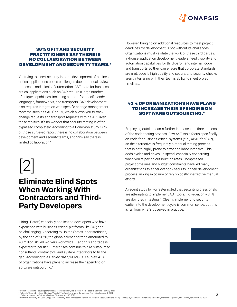

#### **36% OF IT AND SECURITY PRACTITIONERS SAY THERE IS NO COLLABORATION BETWEEN DEVELOPMENT AND SECURITY TEAMS.5**

Yet trying to insert security into the development of businesscritical applications poses challenges due to manual review processes and a lack of automation. AST tools for businesscritical applications such as SAP require a large number of unique capabilities, including support for specific code, languages, frameworks, and transports. SAP development also requires integration with specific change management systems such as SAP ChaRM, which allows you to track change requests and transport requests within SAP. Given these realities, it's no wonder that security testing is often bypassed completely. According to a Ponemon study, 36% of those surveyed report there is no collaboration between development and security teams, and 29% say there is limited collaboration.<sup>6</sup>

# [2]

### **Eliminate Blind Spots When Working With Contractors and Third-Party Developers**

Hiring IT staff, especially application developers who have experience with business-critical platforms like SAP, can be challenging. According to United States labor statistics, by the end of 2020, the global talent shortage amounted to 40 million skilled workers worldwide  $-$  and this shortage is expected to persist.<sup>7</sup> Enterprises continue to hire outsourced consultants, contractors, and system integrators to fill the gap. According to a Harvey Nash/KPMG CIO survey, 41% of organizations have plans to increase their spending on software outsourcing.<sup>8</sup>

However, bringing on additional resources to meet project deadlines for development is not without its challenges. Organizations must validate the work of these third parties. In-house application development leaders need visibility and automation capabilities for third-party (and internal) code and transports so they can ensure that corporate standards are met, code is high quality and secure, and security checks aren't interfering with their team's ability to meet project timelines.

#### **41% OF ORGANIZATIONS HAVE PLANS TO INCREASE THEIR SPENDING ON SOFTWARE OUTSOURCING.9**

Employing outside teams further increases the time and cost of the code-testing process. Few AST tools focus specifically on code for business-critical systems (e.g., ABAP for SAP), so the alternative is frequently a manual testing process that is both highly prone to error and labor-intensive. This adds cycles and drives up spend, especially concerning when you're paying outsourcing rates. Compressed project timelines and budget constraints have led many organizations to either overlook security in their development process, risking exposure or rely on costly, ineffective manual efforts.

A recent study by Forrester noted that security professionals are attempting to implement AST tools. However, only 31% are doing so in testing.10 Clearly, implementing security earlier into the development cycle is common sense, but this is far from what's observed in practice.

5-6 Ponemon Institute, Reducing Enterprise Application Security Risks: More Work Needs to Be Done; February 2021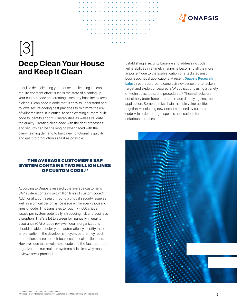

# [3] **Deep Clean Your House and Keep It Clean**

Just like deep cleaning your house and keeping it clean require constant effort, such is the state of cleaning up your custom code and creating a security baseline to keep it clean. Clean code is code that is easy to understand and follows secure coding best practices to minimize the risk of vulnerabilities. It is critical to scan existing custom-built code to identify and fix vulnerabilities as well as validate the quality. Creating clean code with the right processes and security can be challenging when faced with the overwhelming demand to build new functionality quickly and get it to production as fast as possible.

#### **THE AVERAGE CUSTOMER'S SAP SYSTEM CONTAINS TWO MILLION LINES OF CUSTOM CODE.11**

According to Onapsis research, the average customer's SAP system contains two million lines of custom code.<sup>12</sup> Additionally, our research found a critical security issue as well as a critical performance issue within every thousand lines of code. This translates to roughly 4,000 critical issues per system potentially introducing risk and business disruption. That's a lot to screen for manually in quality assurance (QA) or code reviews. Ideally, organizations should be able to quickly and automatically identify these errors earlier in the development cycle, before they reach production, to secure their business-critical applications. However, due to the volume of code and the fact that most organizations run multiple systems, it is clear why manual reviews aren't practical.

Establishing a security baseline and addressing code vulnerabilities in a timely manner is becoming all the more important due to the sophistication of attacks against business-critical applications. A recent **[Onapsis Research](https://onapsis.com/onapsis-platform/research-labs)  [Labs](https://onapsis.com/onapsis-platform/research-labs)** threat report found conclusive evidence that attackers target and exploit unsecured SAP applications using a variety of techniques, tools, and procedures.<sup>13</sup> These attacks are not simply brute-force attempts made directly against the application. Some attacks chain multiple vulnerabilities together — including new ones introduced by custom  $code - in order to target specific applications for$ nefarious purposes.

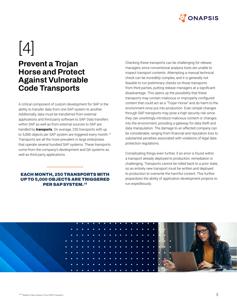

# $|4|$

### **Prevent a Trojan Horse and Protect Against Vulnerable Code Transports**

A critical component of custom development for SAP is the ability to transfer data from one SAP system to another. Additionally, data must be transferred from external applications and third-party software to SAP. Data transfers within SAP as well as from external sources to SAP are handled by **transports**. On average, 250 transports with up to 5,000 objects per SAP system are triggered every month.<sup>14</sup> Transports are all the more prevalent in large enterprises that operate several hundred SAP systems. These transports come from the company's development and QA systems as well as third-party applications.

#### **EACH MONTH, 250 TRANSPORTS WITH UP TO 5,000 OBJECTS ARE TRIGGERED PER SAP SYSTEM.15**

Checking these transports can be challenging for release managers since conventional analysis tools are unable to inspect transport contents. Attempting a manual technical check can be incredibly complex, and it is generally not feasible to run preliminary checks on those transports from third parties, putting release managers at a significant disadvantage. This opens up the possibility that these transports may contain malicious or improperly configured content that could act as a "Trojan Horse" and do harm to the environment once put into production. Even simple changes through SAP transports may pose a high security risk since they can unwittingly introduce malicious content or changes into the environment, providing a gateway for data theft and data manipulation. The damage to an affected company can be considerable, ranging from financial and reputation loss to substantial penalties associated with violations of legal data protection regulations.

Complicating things even further, if an error is found within a transport already deployed to production, remediation is challenging. Transports cannot be rolled back to a prior state, so an entirely new transport must be written and deployed to production to overwrite the harmful content. This further jeopardizes the ability of application development projects to run expeditiously.

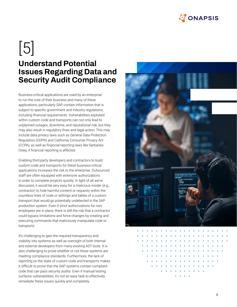

# [5]

## **Understand Potential Issues Regarding Data and Security Audit Compliance**

Business-critical applications are used by an enterprise to run the core of their business and many of these applications, particularly SAP, contain information that is subject to specific government and industry regulations, including financial requirements. Vulnerabilities exploited within custom code and transports can not only lead to unplanned outages, downtime, and reputational risk, but they may also result in regulatory fines and legal action. This may include data privacy laws such as General Data Protection Regulation (GDPR) and California Consumer Privacy Act (CCPA), as well as financial-reporting laws like Sarbanes-Oxley, if financial reporting is affected.

Enabling third-party developers and contractors to build custom code and transports for these business-critical applications increases the risk to the enterprise. Outsourced staff are often equipped with extensive authorizations in order to complete projects quickly. In light of all we've discussed, it would be very easy for a malicious insider (e.g., contractor) to hide harmful content or requests within the countless lines of code or settings and tables of a custom transport that would go potentially undetected in the SAP production system. Even if strict authorizations for nonemployees are in place, there is still the risk that a contractor could bypass limitations and force changes by creating and executing commands that maliciously manipulate code or transports.

It's challenging to gain the required transparency and visibility into systems as well as oversight of both internal and external developers from many existing AST tools. It is also challenging to prove whether or not these systems are meeting compliance standards. Furthermore, the lack of reporting on the state of custom code and transports makes it difficult to prove that the SAP systems contain compliant code that can pass security audits. Even if manual testing surfaces vulnerabilities, it's not an easy task to effectively remediate these issues quickly and completely.